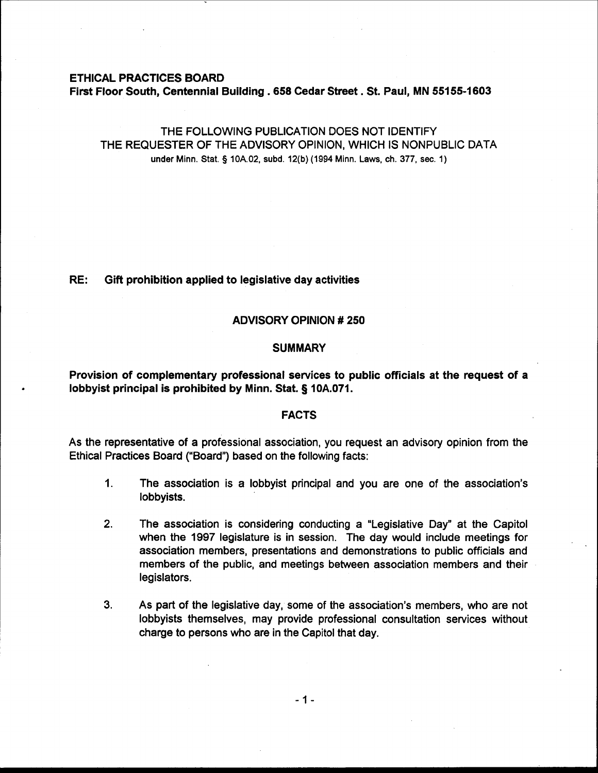# **ETHICAL PRACTICES BOARD First Floor South, Centennial Building .658 Cedar Street. St. Paul, MN 55155-1603**

THE FOLLOWING PUBLICATION DOES NOT IDENTIFY THE REQUESTER OF THE ADVISORY OPINION, WHICH IS NONPUBLIC DATA **under Minn. Stat.** § **10A.02, subd. 12(b) (1994 Minn. Laws, ch. 377, sec. 1)** 

# **RE: Gift prohibition applied to legislative day activities**

### **ADVISORY OPINION** # **250**

### **SUMMARY**

**Provision of complementary professional services to public officials at the request of a lobbyist principal is prohibited by Minn. Stat. 5 10A.071.** 

### **FACTS**

As the representative of a professional association, you request an advisory opinion from the Ethical Practices Board ("Board") based on the following facts:

- **1.** The association is a lobbyist principal and you are one of the association's lobbyists.
- **2.** The association is considering conducting a "Legislative Day" at the Capitol when the 1997 legislature is in session. The day would include meetings for association members, presentations and demonstrations to public officials and members of the public, and meetings between association members and their legislators.
- **3.** As part of the legislative day, some of the association's members, who are not lobbyists themselves, may provide professional consultation services without charge to persons who are in the Capitol that day.

 $-1-$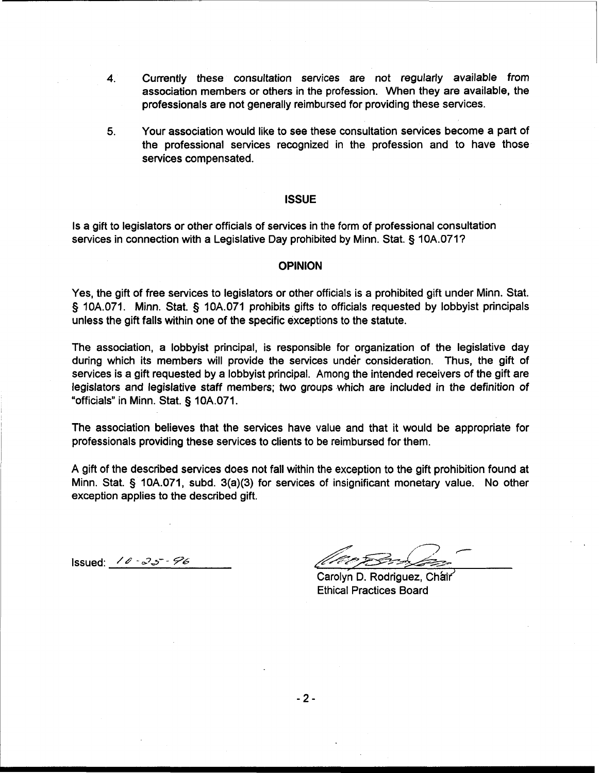- 4. Currently these consultation services are not regularly available from association members or others in the profession. When they are available, the professionals are not generally reimbursed for providing these services.
- **5.** Your association would like to see these consultation services become a part of the professional services recognized in the profession and to have those services compensated.

#### **ISSUE**

Is a gift to legislators or other officials of services in the form of professional consultation services in connection with a Legislative Day prohibited by Minn. Stat. § 10A.071?

#### **OPINION**

Yes, the gift of free services to legislators or other officials is a prohibited gift under Minn. Stat. § 10A.071. Minn. Stat. § 10A.071 prohibits gifts to officials requested by lobbyist principals unless the gift falls within one of the specific exceptions to the statute.

The association, a lobbyist principal, is responsible for organization of the legislative day during which its members will provide the services under consideration. Thus, the gift of services is a gift requested by a lobbyist principal. Among the intended receivers of the gift are legislators and legislative staff members; two groups which are included in the definition of "officials" in Minn. Stat. § 10A.071.

The association believes that the services have value and that it would be appropriate for professionals providing these services to clients to be reimbursed for them.

A gift of the described services does not fall within the exception to the gift prohibition found at Minn. Stat. § 10A.071, subd. 3(a)(3) for services of insignificant monetary value. No other exception applies to the described gift.

Issued:  $10 - 25 - 96$ 

' *,I* -

Carolyn D. Rodriguez, Chair Ethical Practices Board